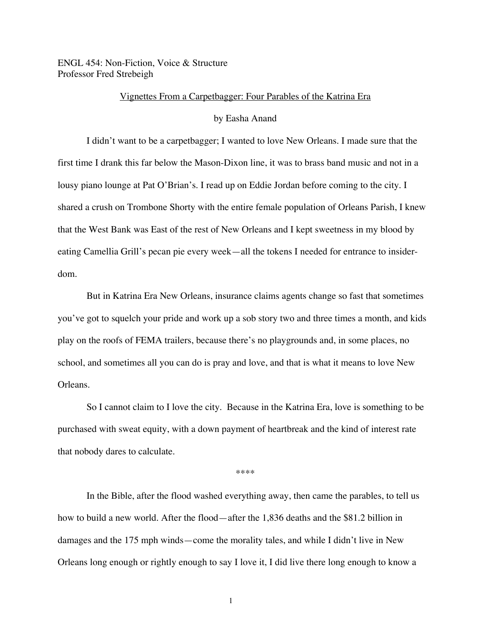ENGL 454: Non-Fiction, Voice & Structure Professor Fred Strebeigh

# Vignettes From a Carpetbagger: Four Parables of the Katrina Era

# by Easha Anand

I didn't want to be a carpetbagger; I wanted to love New Orleans. I made sure that the first time I drank this far below the Mason-Dixon line, it was to brass band music and not in a lousy piano lounge at Pat O'Brian's. I read up on Eddie Jordan before coming to the city. I shared a crush on Trombone Shorty with the entire female population of Orleans Parish, I knew that the West Bank was East of the rest of New Orleans and I kept sweetness in my blood by eating Camellia Grill's pecan pie every week—all the tokens I needed for entrance to insiderdom.

But in Katrina Era New Orleans, insurance claims agents change so fast that sometimes you've got to squelch your pride and work up a sob story two and three times a month, and kids play on the roofs of FEMA trailers, because there's no playgrounds and, in some places, no school, and sometimes all you can do is pray and love, and that is what it means to love New Orleans.

So I cannot claim to I love the city. Because in the Katrina Era, love is something to be purchased with sweat equity, with a down payment of heartbreak and the kind of interest rate that nobody dares to calculate.

\*\*\*\*

In the Bible, after the flood washed everything away, then came the parables, to tell us how to build a new world. After the flood—after the 1,836 deaths and the \$81.2 billion in damages and the 175 mph winds—come the morality tales, and while I didn't live in New Orleans long enough or rightly enough to say I love it, I did live there long enough to know a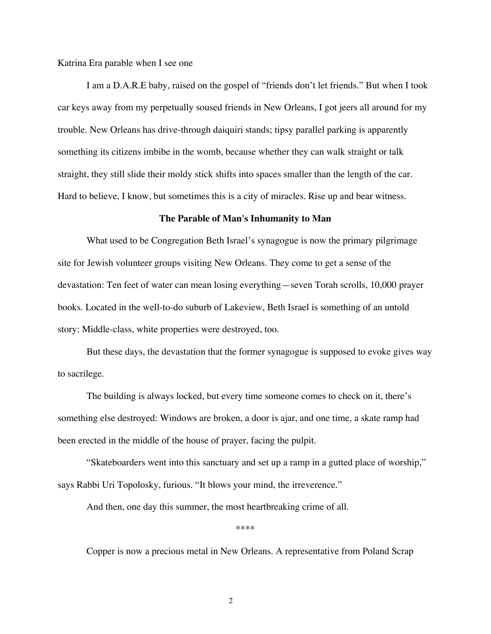Katrina Era parable when I see one

I am a D.A.R.E baby, raised on the gospel of "friends don't let friends." But when I took car keys away from my perpetually soused friends in New Orleans, I got jeers all around for my trouble. New Orleans has drive-through daiquiri stands; tipsy parallel parking is apparently something its citizens imbibe in the womb, because whether they can walk straight or talk straight, they still slide their moldy stick shifts into spaces smaller than the length of the car. Hard to believe, I know, but sometimes this is a city of miracles. Rise up and bear witness.

#### **The Parable of Man's Inhumanity to Man**

What used to be Congregation Beth Israel's synagogue is now the primary pilgrimage site for Jewish volunteer groups visiting New Orleans. They come to get a sense of the devastation: Ten feet of water can mean losing everything—seven Torah scrolls, 10,000 prayer books. Located in the well-to-do suburb of Lakeview, Beth Israel is something of an untold story: Middle-class, white properties were destroyed, too.

But these days, the devastation that the former synagogue is supposed to evoke gives way to sacrilege.

The building is always locked, but every time someone comes to check on it, there's something else destroyed: Windows are broken, a door is ajar, and one time, a skate ramp had been erected in the middle of the house of prayer, facing the pulpit.

"Skateboarders went into this sanctuary and set up a ramp in a gutted place of worship," says Rabbi Uri Topolosky, furious. "It blows your mind, the irreverence."

And then, one day this summer, the most heartbreaking crime of all.

\*\*\*\*

Copper is now a precious metal in New Orleans. A representative from Poland Scrap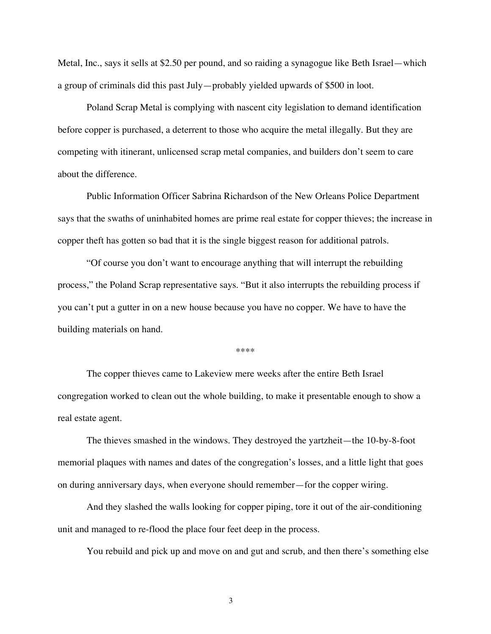Metal, Inc., says it sells at \$2.50 per pound, and so raiding a synagogue like Beth Israel—which a group of criminals did this past July—probably yielded upwards of \$500 in loot.

Poland Scrap Metal is complying with nascent city legislation to demand identification before copper is purchased, a deterrent to those who acquire the metal illegally. But they are competing with itinerant, unlicensed scrap metal companies, and builders don't seem to care about the difference.

Public Information Officer Sabrina Richardson of the New Orleans Police Department says that the swaths of uninhabited homes are prime real estate for copper thieves; the increase in copper theft has gotten so bad that it is the single biggest reason for additional patrols.

"Of course you don't want to encourage anything that will interrupt the rebuilding process," the Poland Scrap representative says. "But it also interrupts the rebuilding process if you can't put a gutter in on a new house because you have no copper. We have to have the building materials on hand.

\*\*\*\*

The copper thieves came to Lakeview mere weeks after the entire Beth Israel congregation worked to clean out the whole building, to make it presentable enough to show a real estate agent.

The thieves smashed in the windows. They destroyed the yartzheit—the 10-by-8-foot memorial plaques with names and dates of the congregation's losses, and a little light that goes on during anniversary days, when everyone should remember—for the copper wiring.

And they slashed the walls looking for copper piping, tore it out of the air-conditioning unit and managed to re-flood the place four feet deep in the process.

You rebuild and pick up and move on and gut and scrub, and then there's something else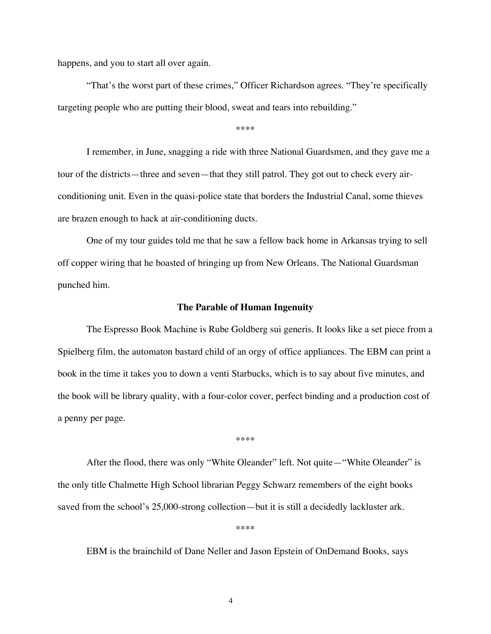happens, and you to start all over again.

"That's the worst part of these crimes," Officer Richardson agrees. "They're specifically targeting people who are putting their blood, sweat and tears into rebuilding."

\*\*\*\*

I remember, in June, snagging a ride with three National Guardsmen, and they gave me a tour of the districts—three and seven—that they still patrol. They got out to check every airconditioning unit. Even in the quasi-police state that borders the Industrial Canal, some thieves are brazen enough to hack at air-conditioning ducts.

One of my tour guides told me that he saw a fellow back home in Arkansas trying to sell off copper wiring that he boasted of bringing up from New Orleans. The National Guardsman punched him.

### **The Parable of Human Ingenuity**

The Espresso Book Machine is Rube Goldberg sui generis. It looks like a set piece from a Spielberg film, the automaton bastard child of an orgy of office appliances. The EBM can print a book in the time it takes you to down a venti Starbucks, which is to say about five minutes, and the book will be library quality, with a four-color cover, perfect binding and a production cost of a penny per page.

\*\*\*\*

After the flood, there was only "White Oleander" left. Not quite—"White Oleander" is the only title Chalmette High School librarian Peggy Schwarz remembers of the eight books saved from the school's 25,000-strong collection—but it is still a decidedly lackluster ark.

\*\*\*\*

EBM is the brainchild of Dane Neller and Jason Epstein of OnDemand Books, says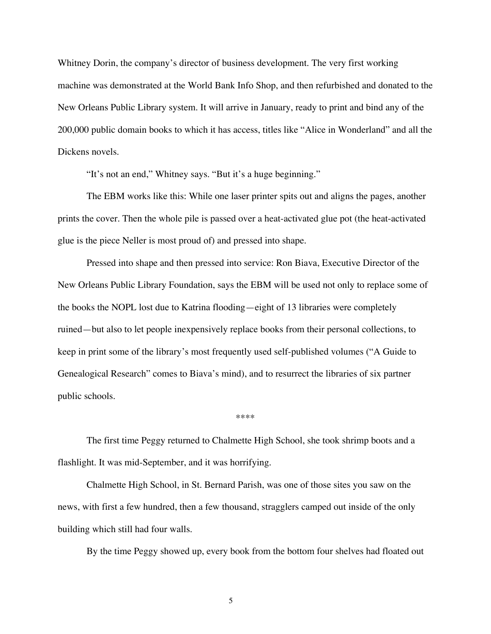Whitney Dorin, the company's director of business development. The very first working machine was demonstrated at the World Bank Info Shop, and then refurbished and donated to the New Orleans Public Library system. It will arrive in January, ready to print and bind any of the 200,000 public domain books to which it has access, titles like "Alice in Wonderland" and all the Dickens novels.

"It's not an end," Whitney says. "But it's a huge beginning."

The EBM works like this: While one laser printer spits out and aligns the pages, another prints the cover. Then the whole pile is passed over a heat-activated glue pot (the heat-activated glue is the piece Neller is most proud of) and pressed into shape.

Pressed into shape and then pressed into service: Ron Biava, Executive Director of the New Orleans Public Library Foundation, says the EBM will be used not only to replace some of the books the NOPL lost due to Katrina flooding—eight of 13 libraries were completely ruined—but also to let people inexpensively replace books from their personal collections, to keep in print some of the library's most frequently used self-published volumes ("A Guide to Genealogical Research" comes to Biava's mind), and to resurrect the libraries of six partner public schools.

The first time Peggy returned to Chalmette High School, she took shrimp boots and a flashlight. It was mid-September, and it was horrifying.

\*\*\*\*

Chalmette High School, in St. Bernard Parish, was one of those sites you saw on the news, with first a few hundred, then a few thousand, stragglers camped out inside of the only building which still had four walls.

By the time Peggy showed up, every book from the bottom four shelves had floated out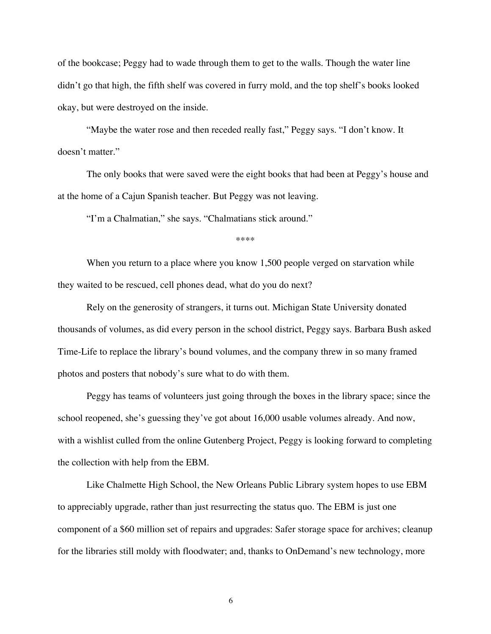of the bookcase; Peggy had to wade through them to get to the walls. Though the water line didn't go that high, the fifth shelf was covered in furry mold, and the top shelf's books looked okay, but were destroyed on the inside.

"Maybe the water rose and then receded really fast," Peggy says. "I don't know. It doesn't matter."

The only books that were saved were the eight books that had been at Peggy's house and at the home of a Cajun Spanish teacher. But Peggy was not leaving.

"I'm a Chalmatian," she says. "Chalmatians stick around."

\*\*\*\*

When you return to a place where you know 1,500 people verged on starvation while they waited to be rescued, cell phones dead, what do you do next?

Rely on the generosity of strangers, it turns out. Michigan State University donated thousands of volumes, as did every person in the school district, Peggy says. Barbara Bush asked Time-Life to replace the library's bound volumes, and the company threw in so many framed photos and posters that nobody's sure what to do with them.

Peggy has teams of volunteers just going through the boxes in the library space; since the school reopened, she's guessing they've got about 16,000 usable volumes already. And now, with a wishlist culled from the online Gutenberg Project, Peggy is looking forward to completing the collection with help from the EBM.

Like Chalmette High School, the New Orleans Public Library system hopes to use EBM to appreciably upgrade, rather than just resurrecting the status quo. The EBM is just one component of a \$60 million set of repairs and upgrades: Safer storage space for archives; cleanup for the libraries still moldy with floodwater; and, thanks to OnDemand's new technology, more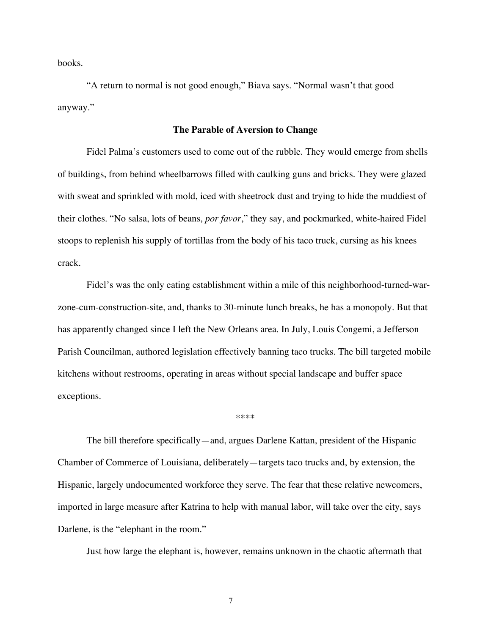books.

"A return to normal is not good enough," Biava says. "Normal wasn't that good anyway."

# **The Parable of Aversion to Change**

Fidel Palma's customers used to come out of the rubble. They would emerge from shells of buildings, from behind wheelbarrows filled with caulking guns and bricks. They were glazed with sweat and sprinkled with mold, iced with sheetrock dust and trying to hide the muddiest of their clothes. "No salsa, lots of beans, *por favor*," they say, and pockmarked, white-haired Fidel stoops to replenish his supply of tortillas from the body of his taco truck, cursing as his knees crack.

Fidel's was the only eating establishment within a mile of this neighborhood-turned-warzone-cum-construction-site, and, thanks to 30-minute lunch breaks, he has a monopoly. But that has apparently changed since I left the New Orleans area. In July, Louis Congemi, a Jefferson Parish Councilman, authored legislation effectively banning taco trucks. The bill targeted mobile kitchens without restrooms, operating in areas without special landscape and buffer space exceptions.

#### \*\*\*\*

The bill therefore specifically—and, argues Darlene Kattan, president of the Hispanic Chamber of Commerce of Louisiana, deliberately—targets taco trucks and, by extension, the Hispanic, largely undocumented workforce they serve. The fear that these relative newcomers, imported in large measure after Katrina to help with manual labor, will take over the city, says Darlene, is the "elephant in the room."

Just how large the elephant is, however, remains unknown in the chaotic aftermath that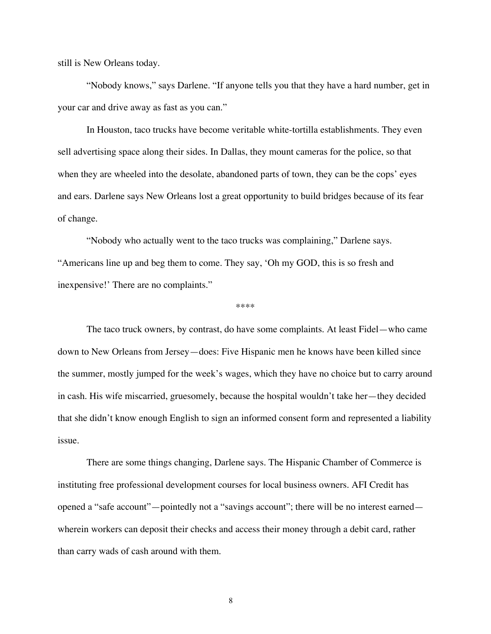still is New Orleans today.

"Nobody knows," says Darlene. "If anyone tells you that they have a hard number, get in your car and drive away as fast as you can."

In Houston, taco trucks have become veritable white-tortilla establishments. They even sell advertising space along their sides. In Dallas, they mount cameras for the police, so that when they are wheeled into the desolate, abandoned parts of town, they can be the cops' eyes and ears. Darlene says New Orleans lost a great opportunity to build bridges because of its fear of change.

"Nobody who actually went to the taco trucks was complaining," Darlene says. "Americans line up and beg them to come. They say, 'Oh my GOD, this is so fresh and inexpensive!' There are no complaints."

\*\*\*\*

The taco truck owners, by contrast, do have some complaints. At least Fidel—who came down to New Orleans from Jersey—does: Five Hispanic men he knows have been killed since the summer, mostly jumped for the week's wages, which they have no choice but to carry around in cash. His wife miscarried, gruesomely, because the hospital wouldn't take her—they decided that she didn't know enough English to sign an informed consent form and represented a liability issue.

There are some things changing, Darlene says. The Hispanic Chamber of Commerce is instituting free professional development courses for local business owners. AFI Credit has opened a "safe account"—pointedly not a "savings account"; there will be no interest earned wherein workers can deposit their checks and access their money through a debit card, rather than carry wads of cash around with them.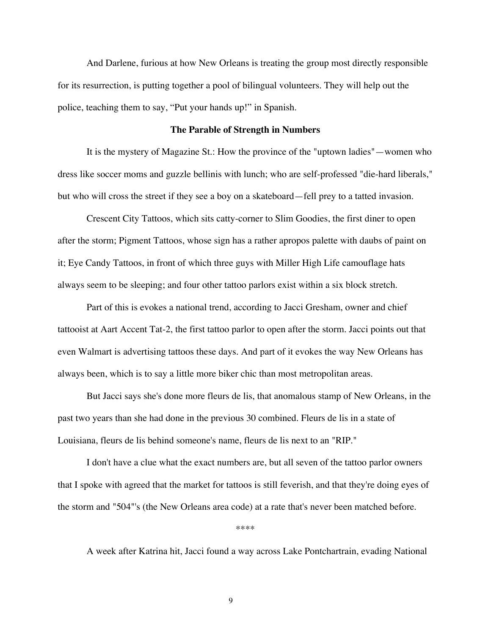And Darlene, furious at how New Orleans is treating the group most directly responsible for its resurrection, is putting together a pool of bilingual volunteers. They will help out the police, teaching them to say, "Put your hands up!" in Spanish.

# **The Parable of Strength in Numbers**

It is the mystery of Magazine St.: How the province of the "uptown ladies"—women who dress like soccer moms and guzzle bellinis with lunch; who are self-professed "die-hard liberals," but who will cross the street if they see a boy on a skateboard—fell prey to a tatted invasion.

Crescent City Tattoos, which sits catty-corner to Slim Goodies, the first diner to open after the storm; Pigment Tattoos, whose sign has a rather apropos palette with daubs of paint on it; Eye Candy Tattoos, in front of which three guys with Miller High Life camouflage hats always seem to be sleeping; and four other tattoo parlors exist within a six block stretch.

Part of this is evokes a national trend, according to Jacci Gresham, owner and chief tattooist at Aart Accent Tat-2, the first tattoo parlor to open after the storm. Jacci points out that even Walmart is advertising tattoos these days. And part of it evokes the way New Orleans has always been, which is to say a little more biker chic than most metropolitan areas.

But Jacci says she's done more fleurs de lis, that anomalous stamp of New Orleans, in the past two years than she had done in the previous 30 combined. Fleurs de lis in a state of Louisiana, fleurs de lis behind someone's name, fleurs de lis next to an "RIP."

I don't have a clue what the exact numbers are, but all seven of the tattoo parlor owners that I spoke with agreed that the market for tattoos is still feverish, and that they're doing eyes of the storm and "504"'s (the New Orleans area code) at a rate that's never been matched before.

\*\*\*\*

A week after Katrina hit, Jacci found a way across Lake Pontchartrain, evading National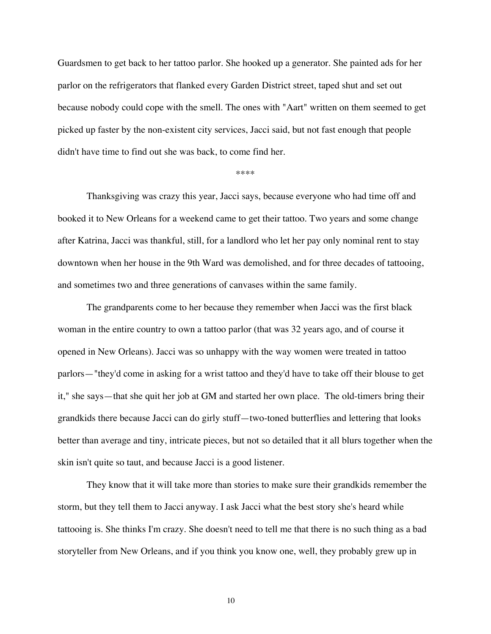Guardsmen to get back to her tattoo parlor. She hooked up a generator. She painted ads for her parlor on the refrigerators that flanked every Garden District street, taped shut and set out because nobody could cope with the smell. The ones with "Aart" written on them seemed to get picked up faster by the non-existent city services, Jacci said, but not fast enough that people didn't have time to find out she was back, to come find her.

\*\*\*\*

Thanksgiving was crazy this year, Jacci says, because everyone who had time off and booked it to New Orleans for a weekend came to get their tattoo. Two years and some change after Katrina, Jacci was thankful, still, for a landlord who let her pay only nominal rent to stay downtown when her house in the 9th Ward was demolished, and for three decades of tattooing, and sometimes two and three generations of canvases within the same family.

The grandparents come to her because they remember when Jacci was the first black woman in the entire country to own a tattoo parlor (that was 32 years ago, and of course it opened in New Orleans). Jacci was so unhappy with the way women were treated in tattoo parlors—"they'd come in asking for a wrist tattoo and they'd have to take off their blouse to get it," she says—that she quit her job at GM and started her own place. The old-timers bring their grandkids there because Jacci can do girly stuff—two-toned butterflies and lettering that looks better than average and tiny, intricate pieces, but not so detailed that it all blurs together when the skin isn't quite so taut, and because Jacci is a good listener.

They know that it will take more than stories to make sure their grandkids remember the storm, but they tell them to Jacci anyway. I ask Jacci what the best story she's heard while tattooing is. She thinks I'm crazy. She doesn't need to tell me that there is no such thing as a bad storyteller from New Orleans, and if you think you know one, well, they probably grew up in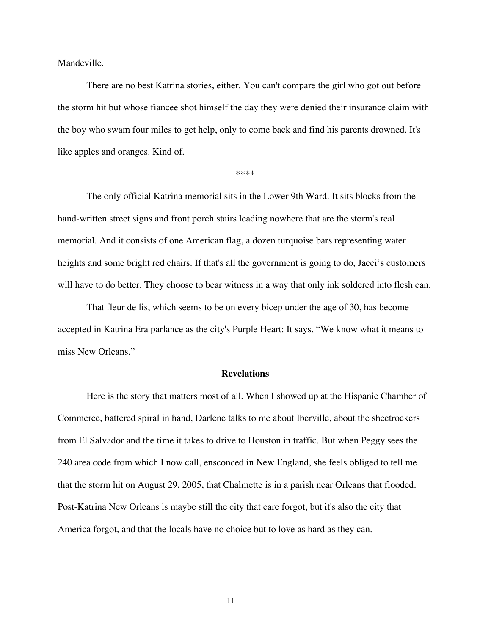Mandeville.

There are no best Katrina stories, either. You can't compare the girl who got out before the storm hit but whose fiancee shot himself the day they were denied their insurance claim with the boy who swam four miles to get help, only to come back and find his parents drowned. It's like apples and oranges. Kind of.

\*\*\*\*

The only official Katrina memorial sits in the Lower 9th Ward. It sits blocks from the hand-written street signs and front porch stairs leading nowhere that are the storm's real memorial. And it consists of one American flag, a dozen turquoise bars representing water heights and some bright red chairs. If that's all the government is going to do, Jacci's customers will have to do better. They choose to bear witness in a way that only ink soldered into flesh can.

That fleur de lis, which seems to be on every bicep under the age of 30, has become accepted in Katrina Era parlance as the city's Purple Heart: It says, "We know what it means to miss New Orleans."

# **Revelations**

Here is the story that matters most of all. When I showed up at the Hispanic Chamber of Commerce, battered spiral in hand, Darlene talks to me about Iberville, about the sheetrockers from El Salvador and the time it takes to drive to Houston in traffic. But when Peggy sees the 240 area code from which I now call, ensconced in New England, she feels obliged to tell me that the storm hit on August 29, 2005, that Chalmette is in a parish near Orleans that flooded. Post-Katrina New Orleans is maybe still the city that care forgot, but it's also the city that America forgot, and that the locals have no choice but to love as hard as they can.